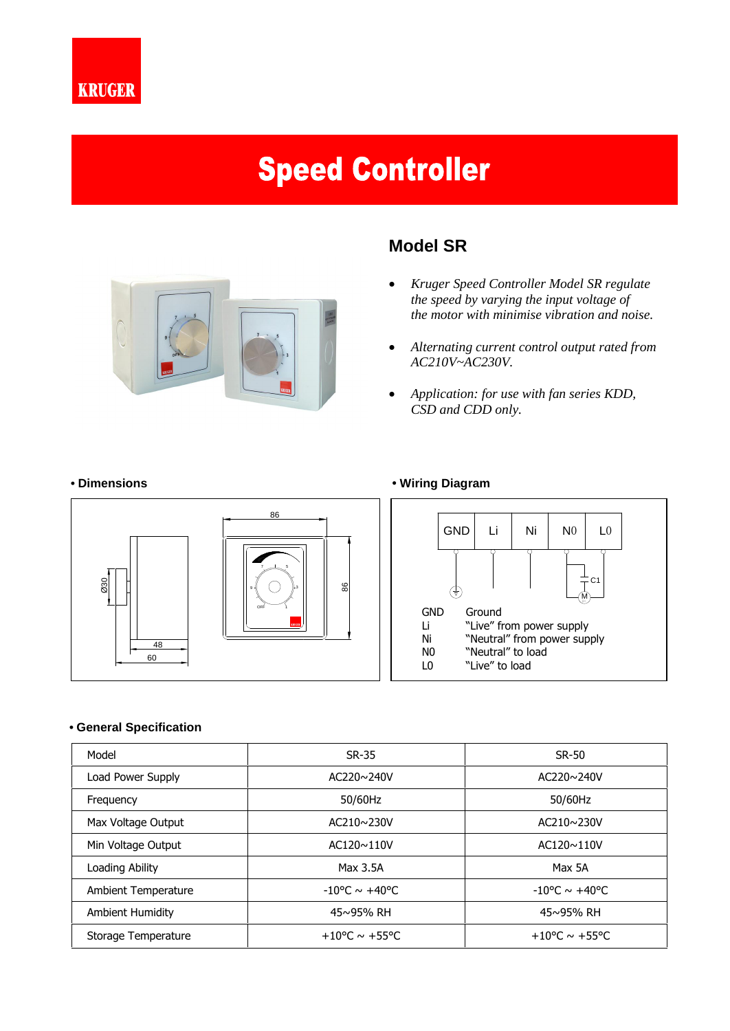

# **Speed Controller**



# **Model SR**

- *Kruger Speed Controller Model SR regulate the speed by varying the input voltage of the motor with minimise vibration and noise.*
- *Alternating current control output rated from AC210V~AC230V.*
- *Application: for use with fan series KDD, CSD and CDD only.*

## **ï Dimensions ï Wiring Diagram**



### **ï General Specification**

| Model               | SR-35                             | <b>SR-50</b>                      |
|---------------------|-----------------------------------|-----------------------------------|
| Load Power Supply   | $AC220 \sim 240 V$                | AC220~240V                        |
| Frequency           | 50/60Hz                           | 50/60Hz                           |
| Max Voltage Output  | AC210~230V                        | $AC210 \sim 230V$                 |
| Min Voltage Output  | $AC120 \sim 110V$                 | $AC120 \sim 110V$                 |
| Loading Ability     | Max 3.5A                          | Max 5A                            |
| Ambient Temperature | $-10^{\circ}$ C ~ $+40^{\circ}$ C | $-10^{\circ}$ C ~ $+40^{\circ}$ C |
| Ambient Humidity    | $45 \sim 95\%$ RH                 | 45~95% RH                         |
| Storage Temperature | $+10^{\circ}$ C ~ $+55^{\circ}$ C | $+10^{\circ}$ C ~ $+55^{\circ}$ C |